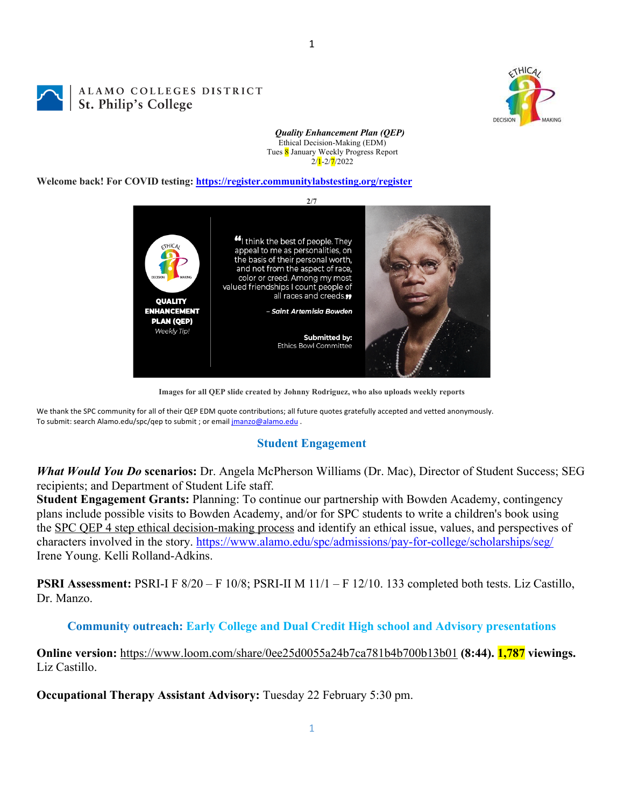



#### *Quality Enhancement Plan (QEP)* Ethical Decision-Making (EDM) Tues 8 January Weekly Progress Report  $2/\sqrt{1} - 2/\sqrt{7}/2022$

1

#### **Welcome back! For COVID testing: https://register.communitylabstesting.org/register**



**Images for all QEP slide created by Johnny Rodriguez, who also uploads weekly reports**

We thank the SPC community for all of their QEP EDM quote contributions; all future quotes gratefully accepted and vetted anonymously. To submit: search Alamo.edu/spc/qep to submit ; or email jmanzo@alamo.edu .

## **Student Engagement**

*What Would You Do* **scenarios:** Dr. Angela McPherson Williams (Dr. Mac), Director of Student Success; SEG recipients; and Department of Student Life staff.

**Student Engagement Grants:** Planning: To continue our partnership with Bowden Academy, contingency plans include possible visits to Bowden Academy, and/or for SPC students to write a children's book using the SPC QEP 4 step ethical decision-making process and identify an ethical issue, values, and perspectives of characters involved in the story. https://www.alamo.edu/spc/admissions/pay-for-college/scholarships/seg/ Irene Young. Kelli Rolland-Adkins.

**PSRI Assessment:** PSRI-I F 8/20 – F 10/8; PSRI-II M 11/1 – F 12/10. 133 completed both tests. Liz Castillo, Dr. Manzo.

## **Community outreach: Early College and Dual Credit High school and Advisory presentations**

**Online version:** https://www.loom.com/share/0ee25d0055a24b7ca781b4b700b13b01 **(8:44). 1,787 viewings.** Liz Castillo.

**Occupational Therapy Assistant Advisory:** Tuesday 22 February 5:30 pm.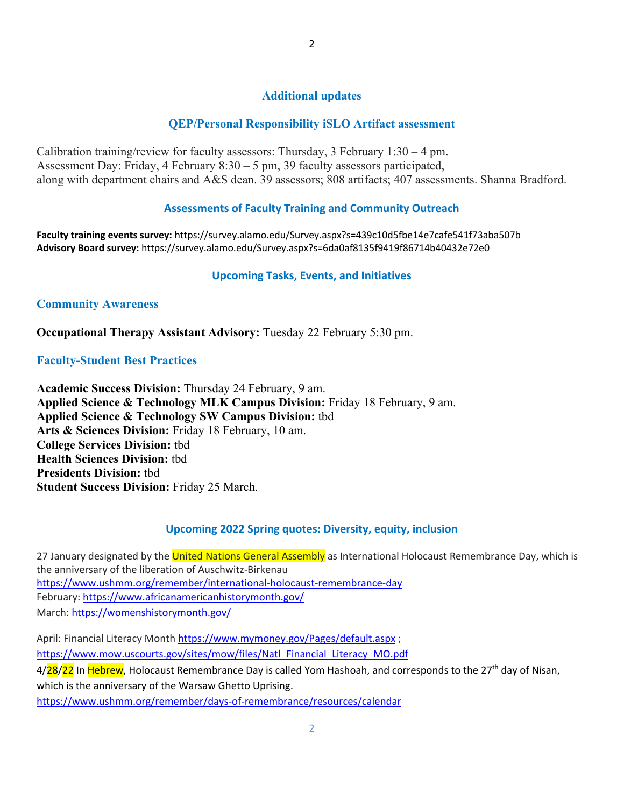# **Additional updates**

# **QEP/Personal Responsibility iSLO Artifact assessment**

Calibration training/review for faculty assessors: Thursday,  $3$  February  $1:30 - 4$  pm. Assessment Day: Friday, 4 February 8:30 – 5 pm, 39 faculty assessors participated, along with department chairs and A&S dean. 39 assessors; 808 artifacts; 407 assessments. Shanna Bradford.

## **Assessments of Faculty Training and Community Outreach**

**Faculty training events survey:** https://survey.alamo.edu/Survey.aspx?s=439c10d5fbe14e7cafe541f73aba507b **Advisory Board survey:** https://survey.alamo.edu/Survey.aspx?s=6da0af8135f9419f86714b40432e72e0

#### **Upcoming Tasks, Events, and Initiatives**

#### **Community Awareness**

**Occupational Therapy Assistant Advisory:** Tuesday 22 February 5:30 pm.

#### **Faculty-Student Best Practices**

**Academic Success Division:** Thursday 24 February, 9 am. **Applied Science & Technology MLK Campus Division:** Friday 18 February, 9 am. **Applied Science & Technology SW Campus Division:** tbd **Arts & Sciences Division:** Friday 18 February, 10 am. **College Services Division:** tbd **Health Sciences Division:** tbd **Presidents Division:** tbd **Student Success Division:** Friday 25 March.

#### **Upcoming 2022 Spring quotes: Diversity, equity, inclusion**

27 January designated by the United Nations General Assembly as International Holocaust Remembrance Day, which is the anniversary of the liberation of Auschwitz-Birkenau https://www.ushmm.org/remember/international-holocaust-remembrance-day February: https://www.africanamericanhistorymonth.gov/ March: https://womenshistorymonth.gov/

April: Financial Literacy Month https://www.mymoney.gov/Pages/default.aspx; https://www.mow.uscourts.gov/sites/mow/files/Natl\_Financial\_Literacy\_MO.pdf 4/28/22 In Hebrew, Holocaust Remembrance Day is called Yom Hashoah, and corresponds to the 27<sup>th</sup> day of Nisan, which is the anniversary of the Warsaw Ghetto Uprising. https://www.ushmm.org/remember/days-of-remembrance/resources/calendar